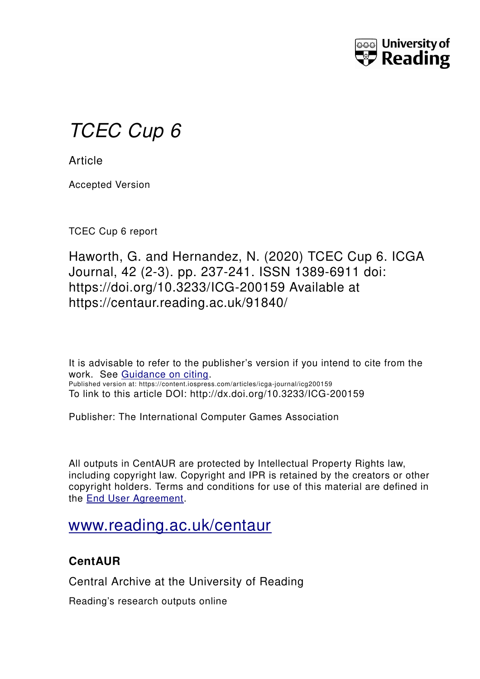

# *TCEC Cup 6*

**Article** 

Accepted Version

TCEC Cup 6 report

Haworth, G. and Hernandez, N. (2020) TCEC Cup 6. ICGA Journal, 42 (2-3). pp. 237-241. ISSN 1389-6911 doi: https://doi.org/10.3233/ICG-200159 Available at https://centaur.reading.ac.uk/91840/

It is advisable to refer to the publisher's version if you intend to cite from the work. See [Guidance on citing.](http://centaur.reading.ac.uk/71187/10/CentAUR%20citing%20guide.pdf) Published version at: https://content.iospress.com/articles/icga-journal/icg200159 To link to this article DOI: http://dx.doi.org/10.3233/ICG-200159

Publisher: The International Computer Games Association

All outputs in CentAUR are protected by Intellectual Property Rights law, including copyright law. Copyright and IPR is retained by the creators or other copyright holders. Terms and conditions for use of this material are defined in the [End User Agreement.](http://centaur.reading.ac.uk/licence)

# [www.reading.ac.uk/centaur](http://www.reading.ac.uk/centaur)

## **CentAUR**

Central Archive at the University of Reading

Reading's research outputs online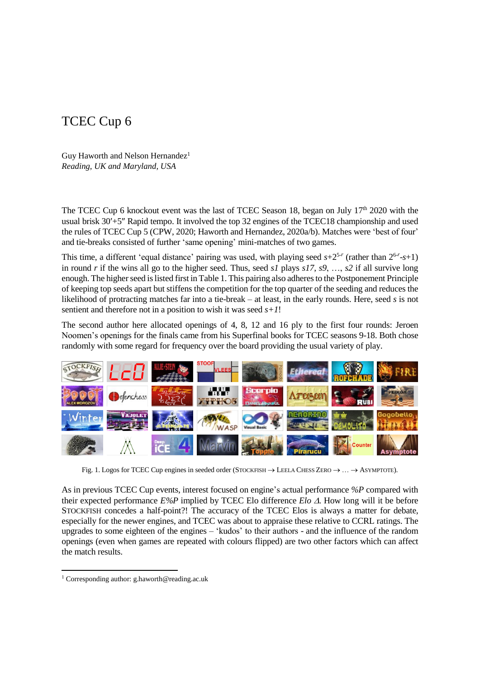### TCEC Cup 6

Guy Haworth and Nelson Hernandez<sup>1</sup> *Reading, UK and Maryland, USA*

The TCEC Cup 6 knockout event was the last of TCEC Season 18, began on July  $17<sup>th</sup>$  2020 with the usual brisk  $30'+5''$  Rapid tempo. It involved the top 32 engines of the TCEC18 championship and used the rules of TCEC Cup 5 (CPW, 2020; Haworth and Hernandez, 2020a/b). Matches were 'best of four' and tie-breaks consisted of further 'same opening' mini-matches of two games.

This time, a different 'equal distance' pairing was used, with playing seed  $s+2^{5-r}$  (rather than  $2^{6-r}-s+1$ ) in round *r* if the wins all go to the higher seed. Thus, seed *s1* plays *s17*, *s9*, …, *s2* if all survive long enough. The higher seed is listed first in Table 1. This pairing also adheres to the Postponement Principle of keeping top seeds apart but stiffens the competition for the top quarter of the seeding and reduces the likelihood of protracting matches far into a tie-break – at least, in the early rounds. Here, seed *s* is not sentient and therefore not in a position to wish it was seed *s+1*!

The second author here allocated openings of 4, 8, 12 and 16 ply to the first four rounds: Jeroen Noomen's openings for the finals came from his Superfinal books for TCEC seasons 9-18. Both chose randomly with some regard for frequency over the board providing the usual variety of play.



Fig. 1. Logos for TCEC Cup engines in seeded order (STOCKFISH  $\rightarrow$  LEELA CHESS ZERO  $\rightarrow \dots \rightarrow$  ASYMPTOTE).

As in previous TCEC Cup events, interest focused on engine's actual performance *%P* compared with their expected performance  $E\%P$  implied by TCEC Elo difference *Elo*  $\Delta$ . How long will it be before STOCKFISH concedes a half-point?! The accuracy of the TCEC Elos is always a matter for debate, especially for the newer engines, and TCEC was about to appraise these relative to CCRL ratings. The upgrades to some eighteen of the engines – 'kudos' to their authors - and the influence of the random openings (even when games are repeated with colours flipped) are two other factors which can affect the match results.

 $\overline{a}$ 

<sup>&</sup>lt;sup>1</sup> Corresponding author: g.haworth@reading.ac.uk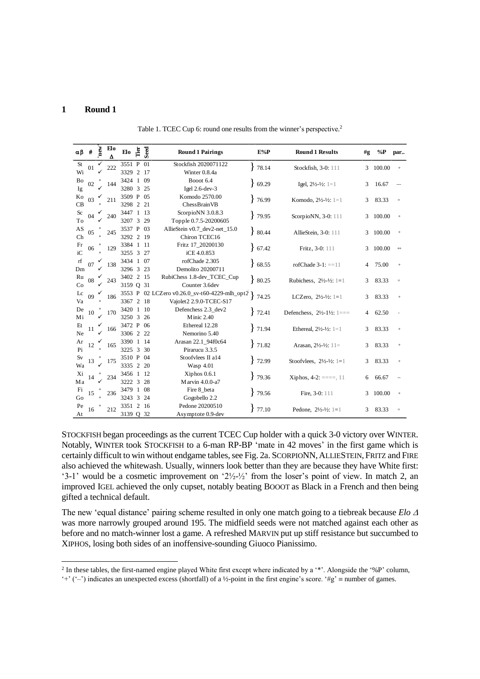#### **1 Round 1**

 $\overline{\phantom{a}}$ 

Table 1. TCEC Cup 6: round one results from the winner's perspective.<sup>2</sup>

| αβ | $\#$ | new <sup>'</sup>          | Elo<br>Δ | Elo                          | Tier  | Seed | <b>Round 1 Pairings</b>                       |  | $E\%P$ | <b>Round 1 Results</b>                           | #g | $\%P$  | par      |
|----|------|---------------------------|----------|------------------------------|-------|------|-----------------------------------------------|--|--------|--------------------------------------------------|----|--------|----------|
| St | 01   |                           | 222      | 3551 P 01                    |       |      | Stockfish 2020071122                          |  | 78.14  | Stockfish, 3-0: 111                              | 3  | 100.00 | $^{+}$   |
| Wi |      |                           |          | 3329 2 17                    |       |      | Winter 0.8.4a                                 |  |        |                                                  |    |        |          |
| Bo | 02   |                           | 144      | 3424 1 09                    |       |      | Booot 6.4                                     |  | 69.29  | Igel, $2\frac{1}{2}$ - $\frac{1}{2}$ : 1=1       | 3  | 16.67  |          |
| Ig |      |                           |          | 3280 3 25                    |       |      | Igel 2.6-dev-3                                |  |        |                                                  |    |        |          |
| Ko | 03   |                           | 211      | 3509 P 05                    |       |      | Komodo 2570.00                                |  | 76.99  | Komodo, 21/2-1/2: 1=1                            | 3  | 83.33  | $\equiv$ |
| CB |      |                           |          | 3298 2 21                    |       |      | ChessBrainVB                                  |  |        |                                                  |    |        |          |
| Sc | 04   |                           | 240      | 3447 1 13                    |       |      | ScorpioNN 3.0.8.3                             |  | 79.95  | ScorpioNN, 3-0: 111                              | 3  | 100.00 | $^{+}$   |
| To |      |                           |          | 3207 3 29                    |       |      | Topple 0.7.5-20200605                         |  |        |                                                  |    |        |          |
| AS | 05   |                           | 245      | 3537 P 03                    |       |      | AllieStein v0.7 dev2-net 15.0                 |  | 80.44  | AllieStein, 3-0: 111                             | 3  | 100.00 | $^{+}$   |
| Ch |      |                           |          | 3292 2 19                    |       |      | Chiron TCEC16                                 |  |        |                                                  |    |        |          |
| Fr | 06   |                           | 129      | 3384 1 11                    |       |      | Fritz 17_20200130                             |  | 67.42  | Fritz, 3-0: 111                                  | 3  | 100.00 | $^{+}$   |
| iC |      |                           |          | 3255 3 27                    |       |      | iCE 4.0.853                                   |  |        |                                                  |    |        |          |
| rf | 07   |                           | 138      | 3434 1 07                    |       |      | rofChade 2.305                                |  | 8.55   | rofChade $3-1$ : ==11                            | 4  | 75.00  | $^{+}$   |
| Dm |      |                           |          | 3296 3 23                    |       |      | Demolito 20200711                             |  |        |                                                  |    |        |          |
| Ru | 08   |                           | 243      | 3402 2 15                    |       |      | RubiChess 1.8-dev_TCEC_Cup                    |  | 80.25  | Rubichess, $2\frac{1}{2}$ - $\frac{1}{2}$ : 1=1  | 3  | 83.33  | $\equiv$ |
| Co |      |                           |          | 3159 O 31                    |       |      | Counter 3.6dev                                |  |        |                                                  |    |        |          |
| Lc | 09   |                           | 186      |                              |       |      | 3553 P 02 LCZero v0.26.0_sv-t60-4229-mlh_opt2 |  | 74.25  | LCZero, $2\frac{1}{2}$ - $\frac{1}{2}$ : 1=1     | 3  | 83.33  | $^{+}$   |
| Va |      |                           |          | 3367 2 18                    |       |      | Vajolet2 2.9.0-TCEC-S17                       |  |        |                                                  |    |        |          |
| De | 10   |                           | 170      | 3420 1 10                    |       |      | Defenchess 2.3_dev2                           |  | 72.41  | Defenchess, $2\frac{1}{2}$ -1½: 1===             | 4  | 62.50  |          |
| Mi |      |                           |          | 3250 3                       |       | 26   | Minic 2.40                                    |  |        |                                                  |    |        |          |
| Et | 11   |                           | 166      | 3472 P 06                    |       |      | Ethereal 12.28                                |  | 71.94  | Ethereal, $2\frac{1}{2}$ - $\frac{1}{2}$ : 1=1   | 3  | 83.33  | $^{+}$   |
| Ne |      |                           |          | 3306 2 22                    |       |      | Nemorino 5.40                                 |  |        |                                                  |    |        |          |
| Ar | 12   |                           | 165      | 3390 1 14                    |       |      | Arasan 22.1_94f0c64                           |  | 71.82  | Arasan, $2\frac{1}{2} - \frac{1}{2}$ : 11=       | 3  | 83.33  | $^{+}$   |
| Pi |      | $\boldsymbol{\mathsf{x}}$ |          | 3225 3 30                    |       |      | Pirarucu 3.3.5                                |  |        |                                                  |    |        |          |
| Sv | 13   |                           | 175      | 3510 P 04                    |       |      | Stoofvlees II a14                             |  | 72.99  | Stoofvlees, $2\frac{1}{2}$ - $\frac{1}{2}$ : 1=1 | 3  | 83.33  |          |
| Wa |      |                           |          | 3335 2 20                    |       |      | Wasp 4.01                                     |  |        |                                                  |    |        |          |
| Xi | 14   |                           | 234      | 3456 1 12                    |       |      | Xiphos 0.6.1                                  |  | 79.36  | Xiphos, $4-2$ : $==$ , 11                        | 6  | 66.67  |          |
| Ma |      |                           |          | 3222 3 28                    |       |      | Marvin 4.0.0-a7                               |  |        |                                                  |    |        |          |
| Fi | 15   |                           | 236      | 3479 1 08                    |       |      | Fire 8_beta                                   |  | 79.56  | Fire, 3-0: 111                                   | 3  | 100.00 | $^{+}$   |
| Go |      |                           |          | 3243                         | 3     | 24   | Gogobello 2.2                                 |  |        |                                                  |    |        |          |
| Pe | 16   |                           | 212      | 3351 2 16<br>Pedone 20200510 | 77.10 |      | Pedone, $2\frac{1}{2} - \frac{1}{2}$ : 1=1    |  | 83.33  | $\equiv$                                         |    |        |          |
| At |      |                           |          | 3139 Q 32                    |       |      | Asymptote 0.9-dev                             |  |        |                                                  | 3  |        |          |

STOCKFISH began proceedings as the current TCEC Cup holder with a quick 3-0 victory over WINTER. Notably, WINTER took STOCKFISH to a 6-man RP-BP 'mate in 42 moves' in the first game which is certainly difficult to win without endgame tables, see Fig. 2a. SCORPIONN,ALLIESTEIN, FRITZ and FIRE also achieved the whitewash. Usually, winners look better than they are because they have White first: '3-1' would be a cosmetic improvement on '2½-½' from the loser's point of view. In match 2, an improved IGEL achieved the only cupset, notably beating BOOOT as Black in a French and then being gifted a technical default.

The new 'equal distance' pairing scheme resulted in only one match going to a tiebreak because *Elo*  was more narrowly grouped around 195. The midfield seeds were not matched against each other as before and no match-winner lost a game. A refreshed MARVIN put up stiff resistance but succumbed to XIPHOS, losing both sides of an inoffensive-sounding Giuoco Pianissimo.

<sup>&</sup>lt;sup>2</sup> In these tables, the first-named engine played White first except where indicated by a  $**$ . Alongside the  $*$ <sup>0</sup>P' column,

<sup>&#</sup>x27;+' ('-') indicates an unexpected excess (shortfall) of a ½-point in the first engine's score. '#g'  $\equiv$  number of games.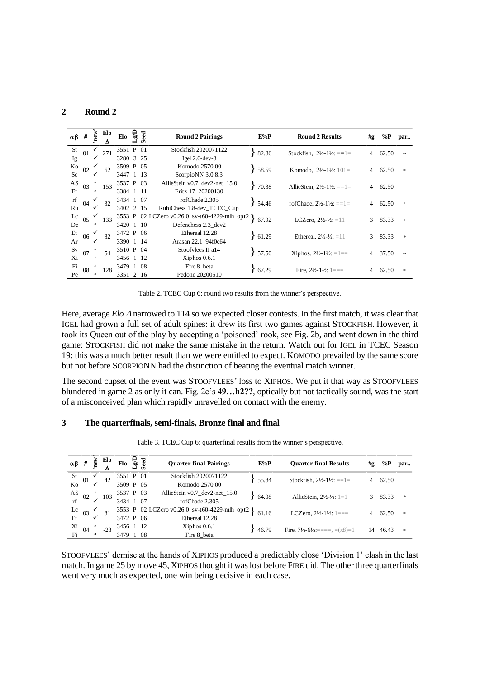#### **2 Round 2**

| $\alpha\beta$ # |                | new         | Elo<br>Δ | Elo       | م<br>م | Seed | <b>Round 2 Pairings</b>                | $E\%P$      | <b>Round 2 Results</b>                       | #g             | $\%P$ | par             |
|-----------------|----------------|-------------|----------|-----------|--------|------|----------------------------------------|-------------|----------------------------------------------|----------------|-------|-----------------|
| <b>St</b>       | 01             |             | 271      | 3551 P 01 |        |      | Stockfish 2020071122                   | 82.86       | Stockfish, $2\frac{1}{2}$ -1½: ==1=          | 4              | 62.50 |                 |
| Ig              |                |             |          | 3280 3 25 |        |      | Igel $2.6$ -dev- $3$                   |             |                                              |                |       |                 |
| Ko              | 02             |             | 62       | 3509 P 05 |        |      | Komodo 2570.00                         | 58.59       | Komodo, $2\frac{1}{2}$ -1½: 101=             | $\overline{4}$ | 62.50 | $=$             |
| <b>Sc</b>       |                |             |          | 3447 1 13 |        |      | ScorpioNN 3.0.8.3                      |             |                                              |                |       |                 |
| AS              | 03             |             | 153      | 3537 P 03 |        |      | AllieStein v0.7_dev2-net_15.0          | 70.38       | AllieStein, $2\frac{1}{2}$ -1½: ==1=         | 4              | 62.50 |                 |
| Fr              | $\times$       |             |          | 3384 1 11 |        |      | Fritz 17 20200130                      |             |                                              |                |       |                 |
| rf              | 04             |             | 32       | 3434 1 07 |        |      | rofChade 2.305                         | 54.46<br>y. | rofChade, $2\frac{1}{2}$ -1½: ==1=           | $\overline{4}$ | 62.50 | $\! + \!\!\!\!$ |
| Ru              |                |             |          | 3402 2 15 |        |      | RubiChess 1.8-dev_TCEC_Cup             |             |                                              |                |       |                 |
| $_{\rm Lc}$     | 05             |             | 133      | 3553 P    |        |      | 02 LCZero v0.26.0_sv-t60-4229-mlh_opt2 | 67.92       | LCZero, $2\frac{1}{2}$ - $\frac{1}{2}$ : =11 | $\mathbf{3}$   | 83.33 | $\ddot{}$       |
| De              |                | $\times$    |          | 3420 1 10 |        |      | Defenchess 2.3 dev2                    |             |                                              |                |       |                 |
| Et              | 06             |             | 82       | 3472 P 06 |        |      | Ethereal 12.28                         | 61.29       | Ethereal, $2\frac{1}{2} - \frac{1}{2} = 11$  | 3              | 83.33 | $\ddot{}$       |
| Ar              |                |             |          | 3390 1    |        | -14  | Arasan 22.1 94f0c64                    |             |                                              |                |       |                 |
| Sv              | 07             |             | 54       | 3510 P 04 |        |      | Stoofvlees II a14                      | 57.50       | Xiphos, $2\frac{1}{2}$ -1½: =1==             | $\overline{4}$ | 37.50 |                 |
| Xi              |                | $^{\times}$ |          | 3456 1    |        | - 12 | $Xiphos$ 0.6.1                         |             |                                              |                |       |                 |
| Fi              | 08             |             | 128      | 3479 1 08 |        |      | Fire 8 beta                            | 67.29       | Fire. $2\frac{1}{2}$ -1½: 1===               | 4              | 62.50 | $=$             |
| Pe              | $\pmb{\times}$ |             |          | 3351 2 16 |        |      | Pedone 20200510                        |             |                                              |                |       |                 |

Table 2. TCEC Cup 6: round two results from the winner's perspective.

Here, average *Elo*  $\triangle$  narrowed to 114 so we expected closer contests. In the first match, it was clear that IGEL had grown a full set of adult spines: it drew its first two games against STOCKFISH. However, it took its Queen out of the play by accepting a 'poisoned' rook, see Fig. 2b, and went down in the third game: STOCKFISH did not make the same mistake in the return. Watch out for IGEL in TCEC Season 19: this was a much better result than we were entitled to expect. KOMODO prevailed by the same score but not before SCORPIONN had the distinction of beating the eventual match winner.

The second cupset of the event was STOOFVLEES' loss to XIPHOS. We put it that way as STOOFVLEES blundered in game 2 as only it can. Fig. 2c's **49…h2??**, optically but not tactically sound, was the start of a misconceived plan which rapidly unravelled on contact with the enemy.

#### **3 The quarterfinals, semi-finals, Bronze final and final**

| $\alpha\beta$ # |                           | Š                     | Elo   | Elo       | ಕ್ಕೆ ಕೆ |  | <b>Quarter-final Pairings</b>                 | $E\%P$ |       | <b>Quarter-final Results</b>                                        | #g | $\%P$ | par      |
|-----------------|---------------------------|-----------------------|-------|-----------|---------|--|-----------------------------------------------|--------|-------|---------------------------------------------------------------------|----|-------|----------|
|                 |                           |                       |       | 3551 P 01 |         |  | Stockfish 2020071122                          |        |       |                                                                     |    |       |          |
| St $_{01}$      |                           |                       | 42    |           |         |  |                                               |        | 55.84 | Stockfish, $2\frac{1}{2}$ -1½: ==1=                                 | 4  | 62.50 | $=$      |
| Ko              |                           | ✓                     |       | 3509 P 05 |         |  | Komodo 2570.00                                |        |       |                                                                     |    |       |          |
| AS              | 02                        |                       | 103   | 3537 P 03 |         |  | AllieStein $v0.7$ _dev2-net_15.0              |        | 64.08 | AllieStein, $2\frac{1}{2}$ - $\frac{1}{2}$ : 1=1                    | 3  | 83.33 |          |
|                 |                           |                       |       | 3434 1 07 |         |  | rofChade 2.305                                |        |       |                                                                     |    |       |          |
|                 |                           |                       | 81    |           |         |  | 3553 P 02 LCZero v0.26.0_sv-t60-4229-mlh_opt2 |        | 61.16 | LCZero, $2\frac{1}{2}$ -1½: 1===                                    | 4  | 62.50 | $\equiv$ |
|                 | Lc $_{\text{Et}}$ 03      |                       |       | 3472 P 06 |         |  | Ethereal 12.28                                |        |       |                                                                     |    |       |          |
| Xi              | 04                        | $\boldsymbol{\times}$ | $-23$ | 3456 1 12 |         |  | $Xiphos$ 0.6.1                                |        | 46.79 | Fire, $7\frac{1}{2}$ -6 <sup>1</sup> / <sub>2</sub> :=====, =(x8)=1 | 14 | 46.43 |          |
| Fi              | $\boldsymbol{\mathsf{x}}$ |                       |       | 3479 1 08 |         |  | Fire 8 beta                                   |        |       |                                                                     |    |       | $=$      |

Table 3. TCEC Cup 6: quarterfinal results from the winner's perspective.

STOOFVLEES' demise at the hands of XIPHOS produced a predictably close 'Division 1' clash in the last match. In game 25 by move 45, XIPHOS thought it was lost before FIRE did. The other three quarterfinals went very much as expected, one win being decisive in each case.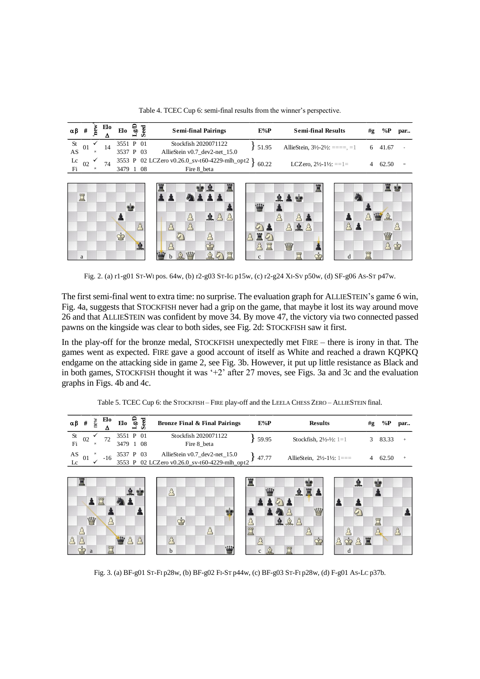Table 4. TCEC Cup 6: semi-final results from the winner's perspective.

|                                                                     |    | $\alpha \beta$ # $\frac{1}{2}$ $\frac{E10}{4}$ Elo $\frac{C}{2}$ $\frac{C}{2}$ | <b>Semi-final Pairings</b>                            | E%P   | <b>Semi-final Results</b>                              | #g | % $\mathbf{P}$ | par |
|---------------------------------------------------------------------|----|--------------------------------------------------------------------------------|-------------------------------------------------------|-------|--------------------------------------------------------|----|----------------|-----|
|                                                                     |    | 3551 P 01                                                                      | Stockfish 2020071122                                  | 51.95 | AllieStein, $3\frac{1}{2} - 2\frac{1}{2} = -1$ 6 41.67 |    |                |     |
| $\frac{\text{St}}{\text{AS}}$ 01 $\frac{\checkmark}{\checkmark}$ 14 |    | 3537 P 03                                                                      | AllieStein v0.7 dev2-net 15.0                         |       |                                                        |    |                |     |
|                                                                     | 74 |                                                                                | 3553 P 02 LCZero v0.26.0_sv-t60-4229-mlh_opt2 } 60.22 |       | LCZero, $2\frac{1}{2}$ -1½: ==1=                       |    | 62.50          | $=$ |
| $\frac{Lc}{Fi}$ 02 $\checkmark$                                     |    | 3479 1 08                                                                      | Fire 8 beta                                           |       |                                                        |    |                |     |



Fig. 2. (a) r1-g01 ST-WI pos. 64w, (b) r2-g03 ST-IG p15w, (c) r2-g24 XI-SV p50w, (d) SF-g06 AS-ST p47w.

The first semi-final went to extra time: no surprise. The evaluation graph for ALLIESTEIN's game 6 win, Fig. 4a, suggests that STOCKFISH never had a grip on the game, that maybe it lost its way around move 26 and that ALLIESTEIN was confident by move 34. By move 47, the victory via two connected passed pawns on the kingside was clear to both sides, see Fig. 2d: STOCKFISH saw it first.

In the play-off for the bronze medal, STOCKFISH unexpectedly met FIRE – there is irony in that. The games went as expected. FIRE gave a good account of itself as White and reached a drawn KQPKQ endgame on the attacking side in game 2, see Fig. 3b. However, it put up little resistance as Black and in both games, STOCKFISH thought it was '+2' after 27 moves, see Figs. 3a and 3c and the evaluation graphs in Figs. 4b and 4c.

| $\alpha\beta$ #                    |   | new      | Elo<br>Δ      | $E10 \nvert \nvert \nvert \nvert \nvert \nvert \nvert \nvert \nvert \nvert$ |  | <b>Bronze Final &amp; Final Pairings</b>                                                 |   | $E\%P$                   | <b>Results</b>                                          | #g | $\%P$   | par       |
|------------------------------------|---|----------|---------------|-----------------------------------------------------------------------------|--|------------------------------------------------------------------------------------------|---|--------------------------|---------------------------------------------------------|----|---------|-----------|
| St<br>02<br>Fi                     |   | $\times$ | 72            | 3551 P 01<br>3479 1 08                                                      |  | Stockfish 2020071122<br>Fire 8_beta                                                      |   | 59.95                    | Stockfish, $2\frac{1}{2}$ - $\frac{1}{2}$ : 1=1         |    | 3 83.33 | $\ddot{}$ |
| $\mathbf{A}\mathbf{S}$<br>01<br>Lc |   |          | $-16$         |                                                                             |  | 3537 P 03 AllieStein v0.7_dev2-net_15.0<br>3553 P 02 LCZero v0.26.0_sv-t60-4229-mlh_opt2 |   | $+47.77$                 | AllieStein, $2\frac{1}{2}$ -1½: 1===                    |    | 4 62.50 | $^{+}$    |
| Ï                                  |   |          |               |                                                                             |  |                                                                                          | 罝 |                          | 皇                                                       |    | Y.      |           |
|                                    |   | 買        |               |                                                                             |  | $\mathcal{E}$                                                                            |   | w                        | 皇皇                                                      |    |         |           |
|                                    |   |          |               |                                                                             |  | ġ                                                                                        |   |                          | W<br>$\mathbb{C}$                                       |    |         |           |
|                                    | W |          | $\mathcal{E}$ |                                                                             |  | $\dot{\mathbb{P}}$<br>$\mathcal{B}$                                                      |   |                          | 皇皇台                                                     |    | 買       | Å         |
|                                    |   |          | ٣             | $\mathbf{w}$                                                                |  | 曹<br>b                                                                                   |   | $\oplus$<br>$\mathbf{c}$ | ♔<br>$\mathbf{\dot{Q}}$<br>$\mathcal{B}$<br>R<br>鬥<br>d | 宣  |         |           |

Table 5. TCEC Cup 6: the STOCKFISH – FIRE play-off and the LEELA CHESS ZERO – ALLIESTEIN final.

Fig. 3. (a) BF-g01 ST-FI p28w, (b) BF-g02 FI-ST p44w, (c) BF-g03 ST-FI p28w, (d) F-g01 AS-LC p37b.